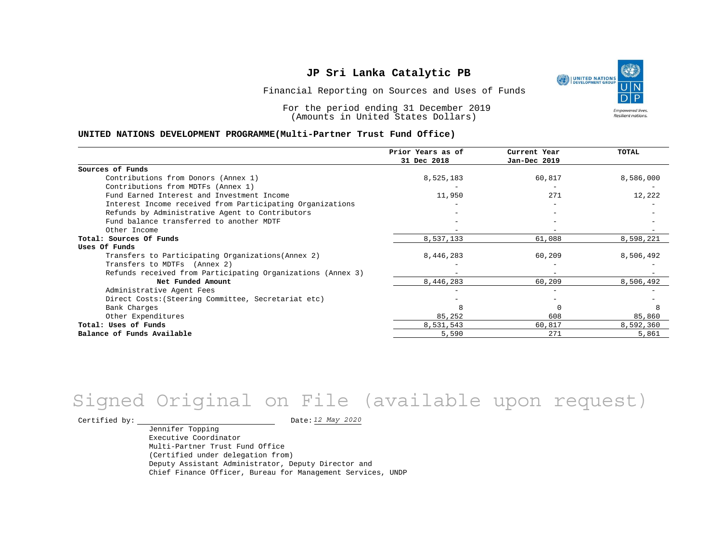UNITED NATIONS **Empowered lives** Resilient nations.

Financial Reporting on Sources and Uses of Funds

For the period ending 31 December 2019 (Amounts in United States Dollars)

#### **UNITED NATIONS DEVELOPMENT PROGRAMME(Multi-Partner Trust Fund Office)**

|                                                             | Prior Years as of<br>31 Dec 2018 | Current Year<br>Jan-Dec 2019 | TOTAL     |
|-------------------------------------------------------------|----------------------------------|------------------------------|-----------|
| Sources of Funds                                            |                                  |                              |           |
| Contributions from Donors (Annex 1)                         | 8,525,183                        | 60,817                       | 8,586,000 |
| Contributions from MDTFs (Annex 1)                          |                                  |                              |           |
| Fund Earned Interest and Investment Income                  | 11,950                           | 271                          | 12,222    |
| Interest Income received from Participating Organizations   |                                  |                              |           |
| Refunds by Administrative Agent to Contributors             |                                  |                              |           |
| Fund balance transferred to another MDTF                    |                                  |                              |           |
| Other Income                                                |                                  |                              |           |
| Total: Sources Of Funds                                     | 8,537,133                        | 61,088                       | 8,598,221 |
| Uses Of Funds                                               |                                  |                              |           |
| Transfers to Participating Organizations (Annex 2)          | 8,446,283                        | 60,209                       | 8,506,492 |
| Transfers to MDTFs (Annex 2)                                |                                  |                              |           |
| Refunds received from Participating Organizations (Annex 3) |                                  | $\qquad \qquad -$            |           |
| Net Funded Amount                                           | 8,446,283                        | 60,209                       | 8,506,492 |
| Administrative Agent Fees                                   |                                  |                              |           |
| Direct Costs: (Steering Committee, Secretariat etc)         |                                  |                              |           |
| Bank Charges                                                |                                  |                              |           |
| Other Expenditures                                          | 85,252                           | 608                          | 85,860    |
| Total: Uses of Funds                                        | 8,531,543                        | 60,817                       | 8,592,360 |
| Balance of Funds Available                                  | 5,590                            | 271                          | 5,861     |

# Signed Original on File (available upon request)

Certified by: Date:

Jennifer Topping Executive Coordinator Multi-Partner Trust Fund Office (Certified under delegation from) Deputy Assistant Administrator, Deputy Director and Chief Finance Officer, Bureau for Management Services, UNDP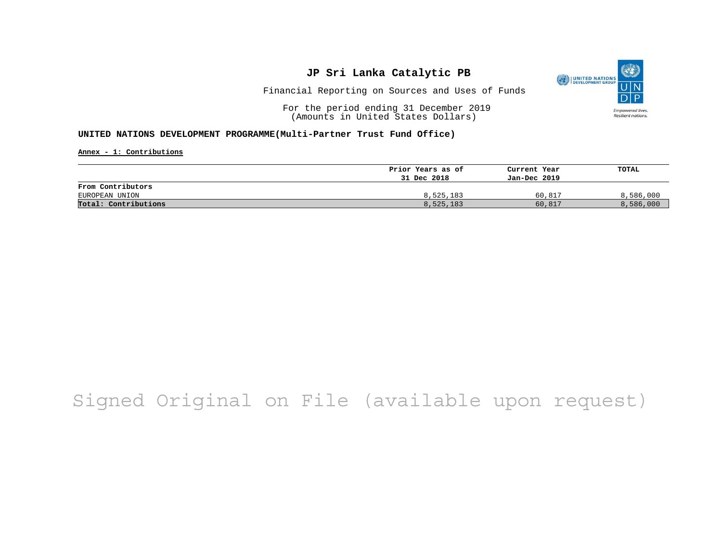

Financial Reporting on Sources and Uses of Funds

For the period ending 31 December 2019 (Amounts in United States Dollars)

#### **UNITED NATIONS DEVELOPMENT PROGRAMME(Multi-Partner Trust Fund Office)**

**Annex - 1: Contributions**

|                      | Prior Years as of | Current Year | TOTAL     |
|----------------------|-------------------|--------------|-----------|
|                      | 31 Dec 2018       | Jan-Dec 2019 |           |
| From Contributors    |                   |              |           |
| EUROPEAN UNION       | 8,525,183         | 60,817       | 8,586,000 |
| Total: Contributions | 8,525,183         | 60,817       | 8,586,000 |

# Signed Original on File (available upon request)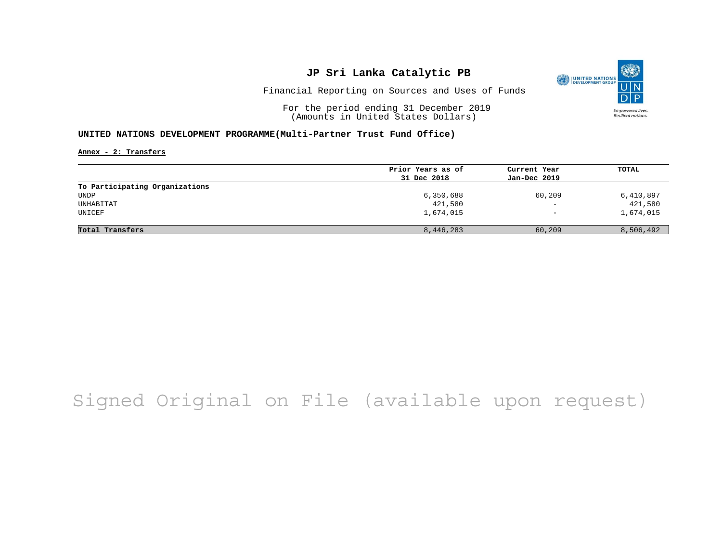

Financial Reporting on Sources and Uses of Funds

For the period ending 31 December 2019 (Amounts in United States Dollars)

#### **UNITED NATIONS DEVELOPMENT PROGRAMME(Multi-Partner Trust Fund Office)**

**Annex - 2: Transfers**

|                                | Prior Years as of | Current Year             | TOTAL     |
|--------------------------------|-------------------|--------------------------|-----------|
|                                | 31 Dec 2018       | Jan-Dec 2019             |           |
| To Participating Organizations |                   |                          |           |
| UNDP                           | 6,350,688         | 60,209                   | 6,410,897 |
| UNHABITAT                      | 421,580           | $\overline{\phantom{m}}$ | 421,580   |
| UNICEF                         | 1,674,015         | $\overline{\phantom{0}}$ | 1,674,015 |
|                                |                   |                          |           |
| Total Transfers                | 8,446,283         | 60,209                   | 8,506,492 |

# Signed Original on File (available upon request)